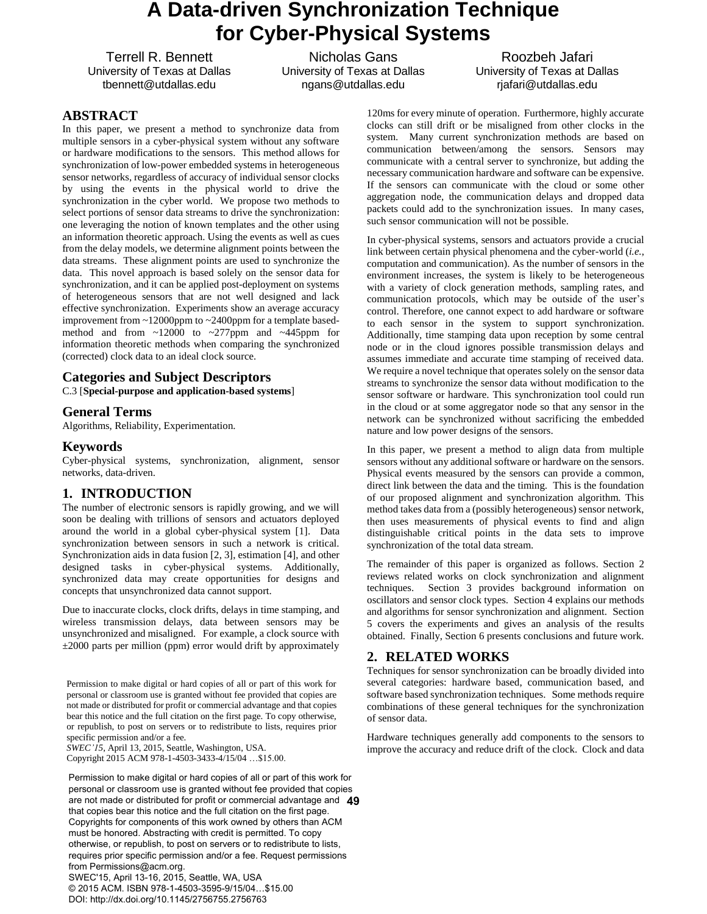# **A Data-driven Synchronization Technique for Cyber-Physical Systems**

Terrell R. Bennett University of Texas at Dallas tbennett@utdallas.edu

Nicholas Gans University of Texas at Dallas ngans@utdallas.edu

Roozbeh Jafari University of Texas at Dallas rjafari@utdallas.edu

# **ABSTRACT**

In this paper, we present a method to synchronize data from multiple sensors in a cyber-physical system without any software or hardware modifications to the sensors. This method allows for synchronization of low-power embedded systems in heterogeneous sensor networks, regardless of accuracy of individual sensor clocks by using the events in the physical world to drive the synchronization in the cyber world. We propose two methods to select portions of sensor data streams to drive the synchronization: one leveraging the notion of known templates and the other using an information theoretic approach. Using the events as well as cues from the delay models, we determine alignment points between the data streams. These alignment points are used to synchronize the data. This novel approach is based solely on the sensor data for synchronization, and it can be applied post-deployment on systems of heterogeneous sensors that are not well designed and lack effective synchronization. Experiments show an average accuracy improvement from ~12000ppm to ~2400ppm for a template basedmethod and from ~12000 to ~277ppm and ~445ppm for information theoretic methods when comparing the synchronized (corrected) clock data to an ideal clock source.

## **Categories and Subject Descriptors**

C.3 [**Special-purpose and application-based systems**]

## **General Terms**

Algorithms, Reliability, Experimentation.

# **Keywords**

Cyber-physical systems, synchronization, alignment, sensor networks, data-driven.

# **1. INTRODUCTION**

The number of electronic sensors is rapidly growing, and we will soon be dealing with trillions of sensors and actuators deployed around the world in a global cyber-physical system [1]. Data synchronization between sensors in such a network is critical. Synchronization aids in data fusion [2, 3], estimation [4], and other designed tasks in cyber-physical systems. Additionally, synchronized data may create opportunities for designs and concepts that unsynchronized data cannot support.

Due to inaccurate clocks, clock drifts, delays in time stamping, and wireless transmission delays, data between sensors may be unsynchronized and misaligned. For example, a clock source with  $\pm 2000$  parts per million (ppm) error would drift by approximately

Permission to make digital or hard copies of all or part of this work for personal or classroom use is granted without fee provided that copies are not made or distributed for profit or commercial advantage and that copies bear this notice and the full citation on the first page. To copy otherwise, or republish, to post on servers or to redistribute to lists, requires prior specific permission and/or a fee.

*SWEC'15*, April 13, 2015, Seattle, Washington, USA.

Copyright 2015 ACM 978-1-4503-3433-4/15/04 …\$15.00.

**49** are not made or distributed for profit or commercial advantage and Permission to make digital or hard copies of all or part of this work for personal or classroom use is granted without fee provided that copies that copies bear this notice and the full citation on the first page. Copyrights for components of this work owned by others than ACM must be honored. Abstracting with credit is permitted. To copy otherwise, or republish, to post on servers or to redistribute to lists, requires prior specific permission and/or a fee. Request permissions from Permissions@acm.org. SWEC'15, April 13-16, 2015, Seattle, WA, USA

© 2015 ACM. ISBN 978-1-4503-3595-9/15/04…\$15.00 DOI: http://dx.doi.org/10.1145/2756755.2756763

120ms for every minute of operation. Furthermore, highly accurate clocks can still drift or be misaligned from other clocks in the system. Many current synchronization methods are based on communication between/among the sensors. Sensors may communicate with a central server to synchronize, but adding the necessary communication hardware and software can be expensive. If the sensors can communicate with the cloud or some other aggregation node, the communication delays and dropped data packets could add to the synchronization issues. In many cases, such sensor communication will not be possible.

In cyber-physical systems, sensors and actuators provide a crucial link between certain physical phenomena and the cyber-world (*i.e.*, computation and communication). As the number of sensors in the environment increases, the system is likely to be heterogeneous with a variety of clock generation methods, sampling rates, and communication protocols, which may be outside of the user's control. Therefore, one cannot expect to add hardware or software to each sensor in the system to support synchronization. Additionally, time stamping data upon reception by some central node or in the cloud ignores possible transmission delays and assumes immediate and accurate time stamping of received data. We require a novel technique that operates solely on the sensor data streams to synchronize the sensor data without modification to the sensor software or hardware. This synchronization tool could run in the cloud or at some aggregator node so that any sensor in the network can be synchronized without sacrificing the embedded nature and low power designs of the sensors.

In this paper, we present a method to align data from multiple sensors without any additional software or hardware on the sensors. Physical events measured by the sensors can provide a common, direct link between the data and the timing. This is the foundation of our proposed alignment and synchronization algorithm. This method takes data from a (possibly heterogeneous) sensor network, then uses measurements of physical events to find and align distinguishable critical points in the data sets to improve synchronization of the total data stream.

The remainder of this paper is organized as follows. Section 2 reviews related works on clock synchronization and alignment techniques. Section 3 provides background information on oscillators and sensor clock types. Section 4 explains our methods and algorithms for sensor synchronization and alignment. Section 5 covers the experiments and gives an analysis of the resu[lts](#page-0-0)  obtained. Finally, Section 6 presents conclusions and future work.

# **2. RELATED [WO](#page-1-0)RKS**

Techniques for sensor synchronization ca[n be](#page-1-1) broadly divided into [se](#page-3-0)veral categories: hardware based, communication based, and software based synchronization techniques. Some methods require combinations of these ge[nera](#page-5-0)l techniques for the synchronization of sensor data.

<span id="page-0-0"></span>Hardware techniques generally add components to the sensors to improve the accuracy and reduce drift of the clock. Clock and data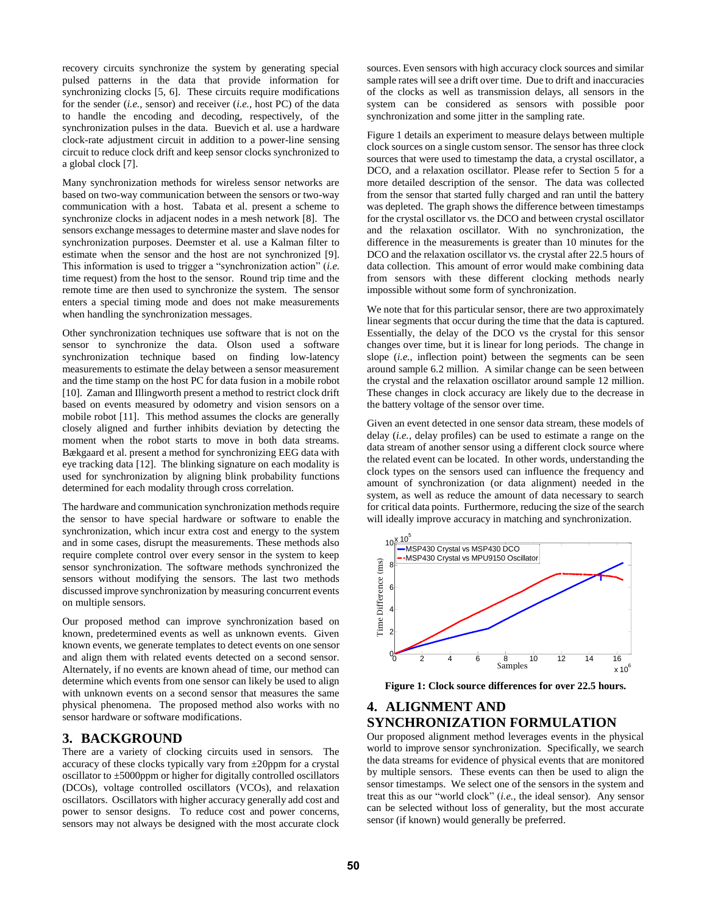recovery circuits synchronize the system by generating special pulsed patterns in the data that provide information for synchronizing clocks [5, 6]. These circuits require modifications for the sender (*i.e.*, sensor) and receiver (*i.e.*, host PC) of the data to handle the encoding and decoding, respectively, of the synchronization pulses in the data. Buevich et al. use a hardware clock-rate adjustment circuit in addition to a power-line sensing circuit to reduce clock drift and keep sensor clocks synchronized to a global clock [7].

Many synchronization methods for wireless sensor networks are based on two-way communication between the sensors or two-way communication with a host. Tabata et al. present a scheme to synchronize clocks in adjacent nodes in a mesh network [8]. The sensors exchange messages to determine master and slave nodes for synchronization purposes. Deemster et al. use a Kalman filter to estimate when the sensor and the host are not synchronized [9]. This information is used to trigger a "synchronization action" (*i.e.* time request) from the host to the sensor. Round trip time and the remote time are then used to synchronize the system. The sensor enters a special timing mode and does not make measurements when handling the synchronization messages.

Other synchronization techniques use software that is not on the sensor to synchronize the data. Olson used a software synchronization technique based on finding low-latency measurements to estimate the delay between a sensor measurement and the time stamp on the host PC for data fusion in a mobile robot [10]. Zaman and Illingworth present a method to restrict clock drift based on events measured by odometry and vision sensors on a mobile robot [11]. This method assumes the clocks are generally closely aligned and further inhibits deviation by detecting the moment when the robot starts to move in both data streams. Bækgaard et al. present a method for synchronizing EEG data with eye tracking data [12]. The blinking signature on each modality is used for synchronization by aligning blink probability functions determined for each modality through cross correlation.

The hardware and communication synchronization methods require the sensor to have special hardware or software to enable the synchronization, which incur extra cost and energy to the system and in some cases, disrupt the measurements. These methods also require complete control over every sensor in the system to keep sensor synchronization. The software methods synchronized the sensors without modifying the sensors. The last two methods discussed improve synchronization by measuring concurrent events on multiple sensors.

Our proposed method can improve synchronization based on known, predetermined events as well as unknown events. Given known events, we generate templates to detect events on one sensor and align them with related events detected on a second sensor. Alternately, if no events are known ahead of time, our method can determine which events from one sensor can likely be used to align with unknown events on a second sensor that measures the same physical phenomena. The proposed method also works with no sensor hardware or software modifications.

## <span id="page-1-0"></span>**3. BACKGROUND**

There are a variety of clocking circuits used in sensors. The accuracy of these clocks typically vary from ±20ppm for a crystal oscillator to ±5000ppm or higher for digitally controlled oscillators (DCOs), voltage controlled oscillators (VCOs), and relaxation oscillators. Oscillators with higher accuracy generally add cost and power to sensor designs. To reduce cost and power concerns, sensors may not always be designed with the most accurate clock

sources. Even sensors with high accuracy clock sources and similar sample rates will see a drift over time. Due to drift and inaccuracies of the clocks as well as transmission delays, all sensors in the system can be considered as sensors with possible poor synchronization and some jitter in the sampling rate.

[Figure 1](#page-1-2) details an experiment to measure delays between multiple clock sources on a single custom sensor. The sensor has three clock sources that were used to timestamp the data, a crystal oscillator, a DCO, and a relaxation oscillator. Please refer to Section 5 for a more detailed description of the sensor. The data was collected from the sensor that started fully charged and ran until the battery was depleted. The graph shows the difference between timestamps for the crystal oscillator vs. the DCO and between crystal oscillator and the relaxation oscillator. With no synchronization, the difference in the measurements is greater than 10 minutes for the DCO and the relaxation oscillator vs. the crystal after 22.5 hours of data collection. This amount of error would make combining data from sensors with these different clocking methods nearly impossible without some form of synchronization.

We note that for this particular sensor, there are two approximately linear segments that occur during the time that the data is captured. Essentially, the delay of the DCO vs the crystal for this sensor changes over time, but it is linear for long periods. The change in slope (*i.e.*, inflection point) between the segments can be seen around sample 6.2 million. A similar change can be seen between the crystal and the relaxation oscillator around sample 12 million. These changes in clock accuracy are likely due to the decrease in the battery voltage of the sensor over time.

Given an event detected in one sensor data stream, these models of delay (*i.e.*, delay profiles) can be used to estimate a range on the data stream of another sensor using a different clock source where the related event can be located. In other words, understanding the clock types on the sensors used can influence the frequency and amount of synchronization (or data alignment) needed in the system, as well as reduce the amount of data necessary to search for critical data points. Furthermore, reducing the size of the search will ideally improve accuracy in matching and synchronization.



<span id="page-1-2"></span>**Figure 1: Clock source differences for over 22.5 hours.** 

# <span id="page-1-1"></span>**4. ALIGNMENT AND SYNCHRONIZATION FORMULATION**

Our proposed alignment method leverages events in the physical world to improve sensor synchronization. Specifically, we search the data streams for evidence of physical events that are monitored by multiple sensors. These events can then be used to align the sensor timestamps. We select one of the sensors in the system and treat this as our "world clock" (*i.e.*, the ideal sensor). Any sensor can be selected without loss of generality, but the most accurate sensor (if known) would generally be preferred.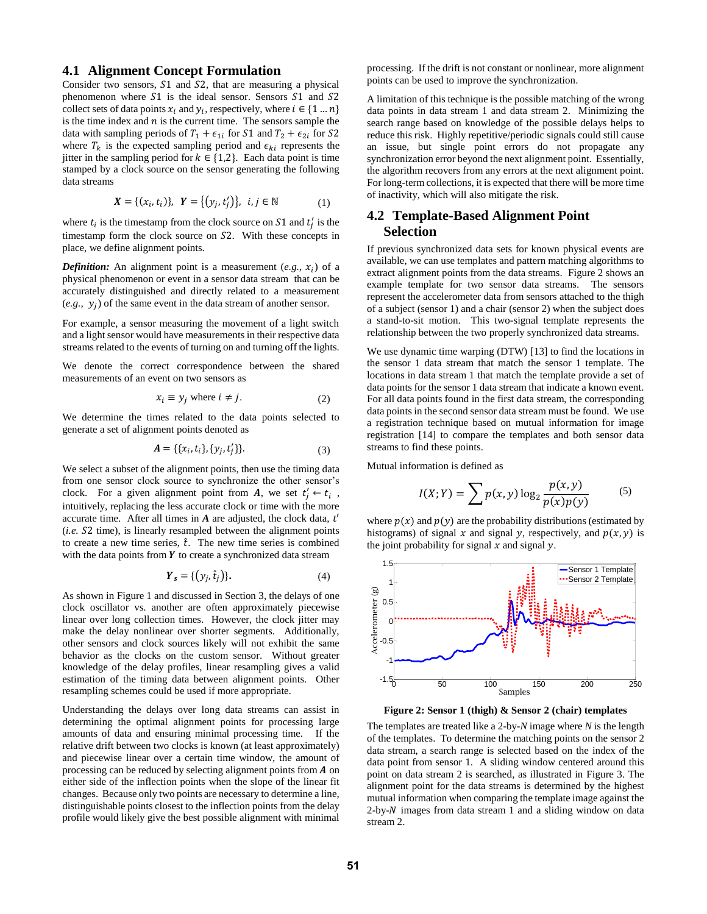#### **4.1 Alignment Concept Formulation**

Consider two sensors,  $S1$  and  $S2$ , that are measuring a physical phenomenon where  $S1$  is the ideal sensor. Sensors  $S1$  and  $S2$ collect sets of data points  $x_i$  and  $y_i$ , respectively, where  $i \in \{1...n\}$ is the time index and  $n$  is the current time. The sensors sample the data with sampling periods of  $T_1 + \epsilon_{1i}$  for  $S1$  and  $T_2 + \epsilon_{2i}$  for  $S2$ where  $T_k$  is the expected sampling period and  $\epsilon_{ki}$  represents the jitter in the sampling period for  $k \in \{1,2\}$ . Each data point is time stamped by a clock source on the sensor generating the following data streams

$$
\mathbf{X} = \{ (x_i, t_i) \}, \ \mathbf{Y} = \{ (y_j, t'_j) \}, \ \ i, j \in \mathbb{N} \tag{1}
$$

where  $t_i$  is the timestamp from the clock source on S1 and  $t'_j$  is the timestamp form the clock source on S2. With these concepts in place, we define alignment points.

*Definition:* An alignment point is a measurement  $(e.g., x_i)$  of a physical phenomenon or event in a sensor data stream that can be accurately distinguished and directly related to a measurement  $(e.g., y_j)$  of the same event in the data stream of another sensor.

For example, a sensor measuring the movement of a light switch and a light sensor would have measurements in their respective data streams related to the events of turning on and turning off the lights.

We denote the correct correspondence between the shared measurements of an event on two sensors as

$$
x_i \equiv y_j \text{ where } i \neq j. \tag{2}
$$

We determine the times related to the data points selected to generate a set of alignment points denoted as

$$
A = \{\{x_i, t_i\}, \{y_j, t'_j\}\}.
$$
 (3)

We select a subset of the alignment points, then use the timing data from one sensor clock source to synchronize the other sensor's clock. For a given alignment point from **A**, we set  $t'_j \leftarrow t_i$ , intuitively, replacing the less accurate clock or time with the more accurate time. After all times in  $A$  are adjusted, the clock data,  $t'$  $(i.e. S2 time)$ , is linearly resampled between the alignment points to create a new time series,  $\hat{t}$ . The new time series is combined with the data points from  $Y$  to create a synchronized data stream

$$
\boldsymbol{Y}_s = \{ \left( y_j, \hat{t}_j \right) \}. \tag{4}
$$

As shown in [Figure 1 a](#page-1-2)nd discussed in Section [3,](#page-1-0) the delays of one clock oscillator vs. another are often approximately piecewise linear over long collection times. However, the clock jitter may make the delay nonlinear over shorter segments. Additionally, other sensors and clock sources likely will not exhibit the same behavior as the clocks on the custom sensor. Without greater knowledge of the delay profiles, linear resampling gives a valid estimation of the timing data between alignment points. Other resampling schemes could be used if more appropriate.

Understanding the delays over long data streams can assist in determining the optimal alignment points for processing large amounts of data and ensuring minimal processing time. If the relative drift between two clocks is known (at least approximately) and piecewise linear over a certain time window, the amount of processing can be reduced by selecting alignment points from  $A$  on either side of the inflection points when the slope of the linear fit changes. Because only two points are necessary to determine a line, distinguishable points closest to the inflection points from the delay profile would likely give the best possible alignment with minimal

processing. If the drift is not constant or nonlinear, more alignment points can be used to improve the synchronization.

A limitation of this technique is the possible matching of the wrong data points in data stream 1 and data stream 2. Minimizing the search range based on knowledge of the possible delays helps to reduce this risk. Highly repetitive/periodic signals could still cause an issue, but single point errors do not propagate any synchronization error beyond the next alignment point. Essentially, the algorithm recovers from any errors at the next alignment point. For long-term collections, it is expected that there will be more time of inactivity, which will also mitigate the risk.

# **4.2 Template-Based Alignment Point Selection**

If previous synchronized data sets for known physical events are available, we can use templates and pattern matching algorithms to extract alignment points from the data streams. [Figure 2 s](#page-2-0)hows an example template for two sensor data streams. The sensors represent the accelerometer data from sensors attached to the thigh of a subject (sensor 1) and a chair (sensor 2) when the subject does a stand-to-sit motion. This two-signal template represents the relationship between the two properly synchronized data streams.

We use dynamic time warping (DTW) [13] to find the locations in the sensor 1 data stream that match the sensor 1 template. The locations in data stream 1 that match the template provide a set of data points for the sensor 1 data stream that indicate a known event. For all data points found in the first data stream, the corresponding data points in the second sensor data stream must be found. We use a registration technique based on mutual information for image registration [14] to compare the templates and both sensor data streams to find these points.

Mutual information is defined as

<span id="page-2-1"></span>
$$
I(X;Y) = \sum p(x,y) \log_2 \frac{p(x,y)}{p(x)p(y)} \tag{5}
$$

where  $p(x)$  and  $p(y)$  are the probability distributions (estimated by histograms) of signal x and signal y, respectively, and  $p(x, y)$  is the joint probability for signal  $x$  and signal  $y$ .



**Figure 2: Sensor 1 (thigh) & Sensor 2 (chair) templates** 

<span id="page-2-0"></span>The templates are treated like a 2-by-*N* image where *N* is the length of the templates. To determine the matching points on the sensor 2 data stream, a search range is selected based on the index of the data point from sensor 1. A sliding window centered around this point on data stream 2 is searched, as illustrated in [Figure 3.](#page-3-1) The alignment point for the data streams is determined by the highest mutual information when comparing the template image against the  $2$ -by- $N$  images from data stream 1 and a sliding window on data stream 2.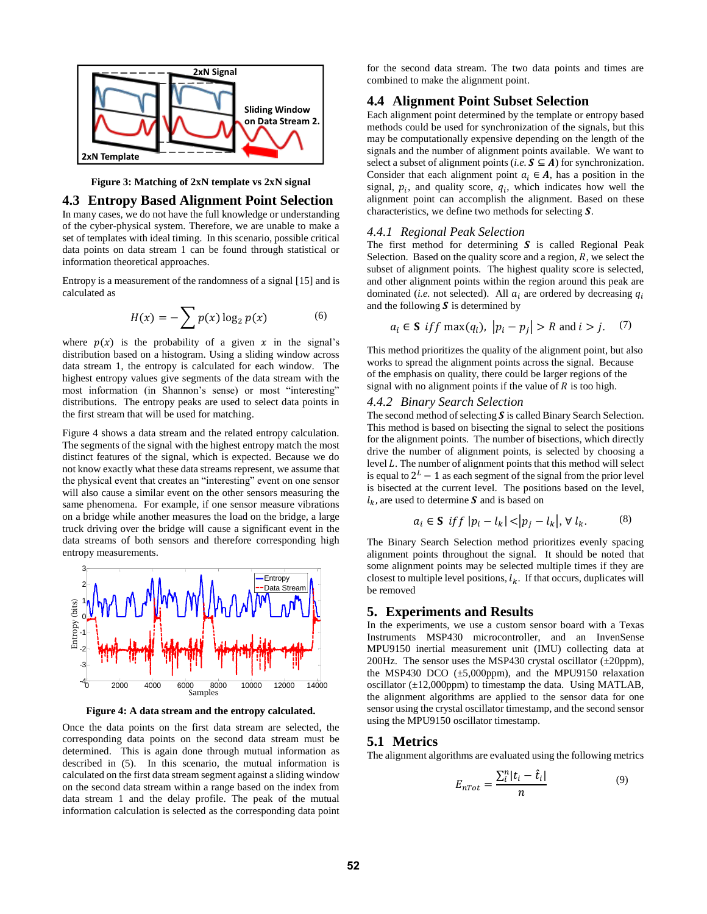

**Figure 3: Matching of 2xN template vs 2xN signal** 

#### <span id="page-3-1"></span>**4.3 Entropy Based Alignment Point Selection**

In many cases, we do not have the full knowledge or understanding of the cyber-physical system. Therefore, we are unable to make a set of templates with ideal timing. In this scenario, possible critical data points on data stream 1 can be found through statistical or information theoretical approaches.

Entropy is a measurement of the randomness of a signal [15] and is calculated as

$$
H(x) = -\sum p(x) \log_2 p(x) \tag{6}
$$

where  $p(x)$  is the probability of a given x in the signal's distribution based on a histogram. Using a sliding window across data stream 1, the entropy is calculated for each window. The highest entropy values give segments of the data stream with the most information (in Shannon's sense) or most "interesting" distributions. The entropy peaks are used to select data points in the first stream that will be used for matching.

[Figure 4](#page-3-2) shows a data stream and the related entropy calculation. The segments of the signal with the highest entropy match the most distinct features of the signal, which is expected. Because we do not know exactly what these data streams represent, we assume that the physical event that creates an "interesting" event on one sensor will also cause a similar event on the other sensors measuring the same phenomena. For example, if one sensor measure vibrations on a bridge while another measures the load on the bridge, a large truck driving over the bridge will cause a significant event in the data streams of both sensors and therefore corresponding high entropy measurements.



**Figure 4: A data stream and the entropy calculated.** 

<span id="page-3-2"></span>Once the data points on the first data stream are selected, the corresponding data points on the second data stream must be determined. This is again done through mutual information as described in [\(5\).](#page-2-1) In this scenario, the mutual information is calculated on the first data stream segment against a sliding window on the second data stream within a range based on the index from data stream 1 and the delay profile. The peak of the mutual information calculation is selected as the corresponding data point

for the second data stream. The two data points and times are combined to make the alignment point.

## **4.4 Alignment Point Subset Selection**

Each alignment point determined by the template or entropy based methods could be used for synchronization of the signals, but this may be computationally expensive depending on the length of the signals and the number of alignment points available. We want to select a subset of alignment points (*i.e.*  $S \subseteq A$ ) for synchronization. Consider that each alignment point  $a_i \in A$ , has a position in the signal,  $p_i$ , and quality score,  $q_i$ , which indicates how well the alignment point can accomplish the alignment. Based on these characteristics, we define two methods for selecting  $S$ .

#### *4.4.1 Regional Peak Selection*

The first method for determining  $S$  is called Regional Peak Selection. Based on the quality score and a region, *, we select the* subset of alignment points. The highest quality score is selected, and other alignment points within the region around this peak are dominated (*i.e.* not selected). All  $a_i$  are ordered by decreasing  $q_i$ and the following  $S$  is determined by

$$
a_i \in \mathbf{S} \text{ if } f \max(q_i), \ |p_i - p_j| > R \text{ and } i > j. \tag{7}
$$

This method prioritizes the quality of the alignment point, but also works to spread the alignment points across the signal. Because of the emphasis on quality, there could be larger regions of the signal with no alignment points if the value of  $R$  is too high.

#### *4.4.2 Binary Search Selection*

The second method of selecting  $S$  is called Binary Search Selection. This method is based on bisecting the signal to select the positions for the alignment points. The number of bisections, which directly drive the number of alignment points, is selected by choosing a level  $L$ . The number of alignment points that this method will select is equal to  $2^L - 1$  as each segment of the signal from the prior level is bisected at the current level. The positions based on the level,  $l_k$ , are used to determine S and is based on

$$
a_i \in \mathbf{S} \; \; \text{iff} \; |p_i - l_k| < |p_j - l_k|, \; \forall \; l_k. \tag{8}
$$

The Binary Search Selection method prioritizes evenly spacing alignment points throughout the signal. It should be noted that some alignment points may be selected multiple times if they are closest to multiple level positions,  $l_k$ . If that occurs, duplicates will be removed

#### <span id="page-3-0"></span>**5. Experiments and Results**

In the experiments, we use a custom sensor board with a Texas Instruments MSP430 microcontroller, and an InvenSense MPU9150 inertial measurement unit (IMU) collecting data at 200Hz. The sensor uses the MSP430 crystal oscillator  $(\pm 20$ ppm), the MSP430 DCO  $(\pm 5,000$ ppm), and the MPU9150 relaxation oscillator  $(\pm 12,000$ ppm) to timestamp the data. Using MATLAB, the alignment algorithms are applied to the sensor data for one sensor using the crystal oscillator timestamp, and the second sensor using the MPU9150 oscillator timestamp.

### **5.1 Metrics**

The alignment algorithms are evaluated using the following metrics

$$
E_{nTot} = \frac{\sum_{i}^{n} |t_i - \hat{t}_i|}{n} \tag{9}
$$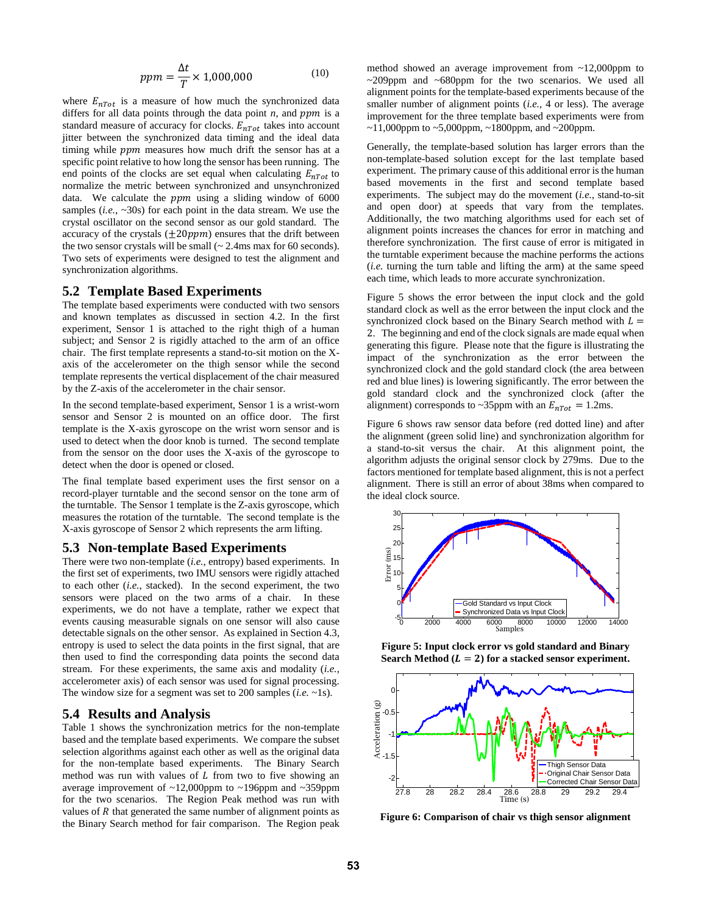$$
ppm = \frac{\Delta t}{T} \times 1,000,000\tag{10}
$$

where  $E_{nTot}$  is a measure of how much the synchronized data differs for all data points through the data point  $n$ , and  $ppm$  is a standard measure of accuracy for clocks.  $E_{nTot}$  takes into account jitter between the synchronized data timing and the ideal data timing while  $ppm$  measures how much drift the sensor has at a specific point relative to how long the sensor has been running. The end points of the clocks are set equal when calculating  $E_{n\tau_0 t}$  to normalize the metric between synchronized and unsynchronized data. We calculate the  $ppm$  using a sliding window of 6000 samples (*i.e.*, ~30s) for each point in the data stream. We use the crystal oscillator on the second sensor as our gold standard. The accuracy of the crystals  $(\pm 20 ppm)$  ensures that the drift between the two sensor crystals will be small  $\sim$  2.4ms max for 60 seconds). Two sets of experiments were designed to test the alignment and synchronization algorithms.

#### **5.2 Template Based Experiments**

The template based experiments were conducted with two sensors and known templates as discussed in section 4.2. In the first experiment, Sensor 1 is attached to the right thigh of a human subject; and Sensor 2 is rigidly attached to the arm of an office chair. The first template represents a stand-to-sit motion on the Xaxis of the accelerometer on the thigh sensor while the second template represents the vertical displacement of the chair measured by the Z-axis of the accelerometer in the chair sensor.

In the second template-based experiment, Sensor 1 is a wrist-worn sensor and Sensor 2 is mounted on an office door. The first template is the X-axis gyroscope on the wrist worn sensor and is used to detect when the door knob is turned. The second template from the sensor on the door uses the X-axis of the gyroscope to detect when the door is opened or closed.

The final template based experiment uses the first sensor on a record-player turntable and the second sensor on the tone arm of the turntable. The Sensor 1 template is the Z-axis gyroscope, which measures the rotation of the turntable. The second template is the X-axis gyroscope of Sensor 2 which represents the arm lifting.

#### **5.3 Non-template Based Experiments**

There were two non-template (*i.e.*, entropy) based experiments. In the first set of experiments, two IMU sensors were rigidly attached to each other (*i.e.*, stacked). In the second experiment, the two sensors were placed on the two arms of a chair. In these experiments, we do not have a template, rather we expect that events causing measurable signals on one sensor will also cause detectable signals on the other sensor. As explained in Section 4.3, entropy is used to select the data points in the first signal, that are then used to find the corresponding data points the second data stream. For these experiments, the same axis and modality (*i.e.*, accelerometer axis) of each sensor was used for signal processing. The window size for a segment was set to 200 samples (*i.e.* ~1s).

#### **5.4 Results and Analysis**

[Table 1](#page-5-1) shows the synchronization metrics for the non-template based and the template based experiments. We compare the subset selection algorithms against each other as well as the original data for the non-template based experiments. The Binary Search method was run with values of  $L$  from two to five showing an average improvement of ~12,000ppm to ~196ppm and ~359ppm for the two scenarios. The Region Peak method was run with values of  $R$  that generated the same number of alignment points as the Binary Search method for fair comparison. The Region peak method showed an average improvement from ~12,000ppm to ~209ppm and ~680ppm for the two scenarios. We used all alignment points for the template-based experiments because of the smaller number of alignment points (*i.e.,* 4 or less). The average improvement for the three template based experiments were from  $\sim$ 11,000ppm to  $\sim$ 5,000ppm,  $\sim$ 1800ppm, and  $\sim$ 200ppm.

Generally, the template-based solution has larger errors than the non-template-based solution except for the last template based experiment. The primary cause of this additional error is the human based movements in the first and second template based experiments. The subject may do the movement (*i.e.*, stand-to-sit and open door) at speeds that vary from the templates. Additionally, the two matching algorithms used for each set of alignment points increases the chances for error in matching and therefore synchronization. The first cause of error is mitigated in the turntable experiment because the machine performs the actions (*i.e.* turning the turn table and lifting the arm) at the same speed each time, which leads to more accurate synchronization.

[Figure 5](#page-4-0) shows the error between the input clock and the gold standard clock as well as the error between the input clock and the synchronized clock based on the Binary Search method with  $L =$ 2. The beginning and end of the clock signals are made equal when generating this figure. Please note that the figure is illustrating the impact of the synchronization as the error between the synchronized clock and the gold standard clock (the area between red and blue lines) is lowering significantly. The error between the gold standard clock and the synchronized clock (after the alignment) corresponds to ~35ppm with an  $E_{nTot} = 1.2$ ms.

[Figure 6](#page-4-1) shows raw sensor data before (red dotted line) and after the alignment (green solid line) and synchronization algorithm for a stand-to-sit versus the chair. At this alignment point, the algorithm adjusts the original sensor clock by 279ms. Due to the factors mentioned for template based alignment, this is not a perfect alignment. There is still an error of about 38ms when compared to the ideal clock source.



<span id="page-4-0"></span>**Figure 5: Input clock error vs gold standard and Binary**  Search Method  $(L = 2)$  for a stacked sensor experiment.



<span id="page-4-1"></span>**Figure 6: Comparison of chair vs thigh sensor alignment**